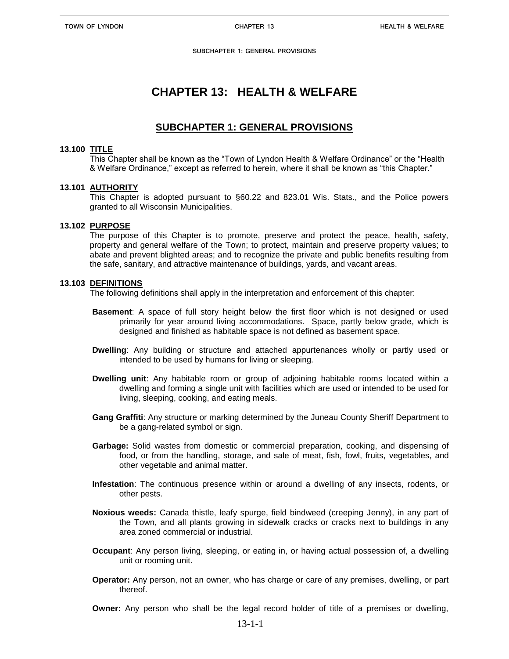# **CHAPTER 13: HEALTH & WELFARE**

## **SUBCHAPTER 1: GENERAL PROVISIONS**

### **13.100 TITLE**

This Chapter shall be known as the "Town of Lyndon Health & Welfare Ordinance" or the "Health & Welfare Ordinance," except as referred to herein, where it shall be known as "this Chapter."

### **13.101 AUTHORITY**

This Chapter is adopted pursuant to §60.22 and 823.01 Wis. Stats., and the Police powers granted to all Wisconsin Municipalities.

### **13.102 PURPOSE**

The purpose of this Chapter is to promote, preserve and protect the peace, health, safety, property and general welfare of the Town; to protect, maintain and preserve property values; to abate and prevent blighted areas; and to recognize the private and public benefits resulting from the safe, sanitary, and attractive maintenance of buildings, yards, and vacant areas.

#### **13.103 DEFINITIONS**

The following definitions shall apply in the interpretation and enforcement of this chapter:

- **Basement**: A space of full story height below the first floor which is not designed or used primarily for year around living accommodations. Space, partly below grade, which is designed and finished as habitable space is not defined as basement space.
- **Dwelling**: Any building or structure and attached appurtenances wholly or partly used or intended to be used by humans for living or sleeping.
- **Dwelling unit**: Any habitable room or group of adjoining habitable rooms located within a dwelling and forming a single unit with facilities which are used or intended to be used for living, sleeping, cooking, and eating meals.
- **Gang Graffiti**: Any structure or marking determined by the Juneau County Sheriff Department to be a gang-related symbol or sign.
- **Garbage:** Solid wastes from domestic or commercial preparation, cooking, and dispensing of food, or from the handling, storage, and sale of meat, fish, fowl, fruits, vegetables, and other vegetable and animal matter.
- **Infestation**: The continuous presence within or around a dwelling of any insects, rodents, or other pests.
- **Noxious weeds:** Canada thistle, leafy spurge, field bindweed (creeping Jenny), in any part of the Town, and all plants growing in sidewalk cracks or cracks next to buildings in any area zoned commercial or industrial.
- **Occupant**: Any person living, sleeping, or eating in, or having actual possession of, a dwelling unit or rooming unit.
- **Operator:** Any person, not an owner, who has charge or care of any premises, dwelling, or part thereof.

**Owner:** Any person who shall be the legal record holder of title of a premises or dwelling,